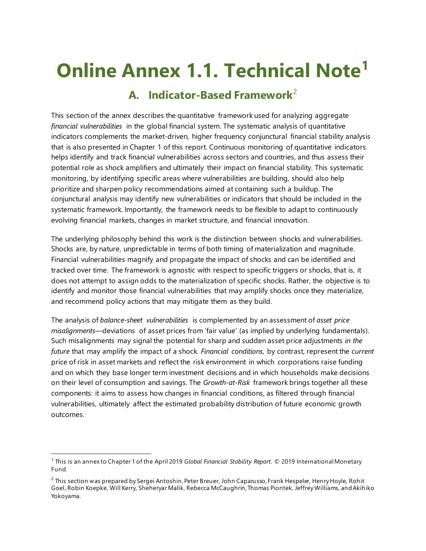# **Online Annex 1.1. Technical Note[1](#page-0-0)**

# **A. Indicator-Based Framework**[2](#page-0-1)

This section of the annex describes the quantitative framework used for analyzing aggregate *financial vulnerabilities* in the global financial system. The systematic analysis of quantitative indicators complements the market-driven, higher frequency conjunctural financial stability analysis that is also presented in Chapter 1 of this report. Continuous monitoring of quantitative indicators helps identify and track financial vulnerabilities across sectors and countries, and thus assess their potential role as shock amplifiers and ultimately their impact on financial stability. This systematic monitoring, by identifying specific areas where vulnerabilities are building, should also help prioritize and sharpen policy recommendations aimed at containing such a buildup. The conjunctural analysis may identify new vulnerabilities or indicators that should be included in the systematic framework. Importantly, the framework needs to be flexible to adapt to continuously evolving financial markets, changes in market structure, and financial innovation.

The underlying philosophy behind this work is the distinction between shocks and vulnerabilities. Shocks are, by nature, unpredictable in terms of both timing of materialization and magnitude. Financial vulnerabilities magnify and propagate the impact of shocks and can be identified and tracked over time. The framework is agnostic with respect to specific triggers or shocks, that is, it does not attempt to assign odds to the materialization of specific shocks. Rather, the objective is to identify and monitor those financial vulnerabilities that may amplify shocks once they materialize, and recommend policy actions that may mitigate them as they build.

The analysis of *balance-sheet vulnerabilities* is complemented by an assessment of *asset price misalignments*—deviations of asset prices from 'fair value' (as implied by underlying fundamentals). Such misalignments may signal the potential for sharp and sudden asset price adjustments *in the future* that may amplify the impact of a shock. *Financial conditions*, by contrast, represent the *current* price of risk in asset markets and reflect the risk environment in which corporations raise funding and on which they base longer term investment decisions and in which households make decisions on their level of consumption and savings. The *Growth-at-Risk* framework brings together all these components: it aims to assess how changes in financial conditions, as filtered through financial vulnerabilities, ultimately affect the estimated probability distribution of future economic growth outcomes.

<span id="page-0-0"></span> <sup>1</sup> This is an annex to Chapter 1 of the April 2019 *Global Financial Stability Report.* © 2019 International Monetary Fund.

<span id="page-0-1"></span> $^2$  This section was prepared by Sergei Antoshin, Peter Breuer, John Caparusso, Frank Hespeler, Henry Hoyle, Rohit Goel, Robin Koepke, Will Kerry, Sheheryar Malik, Rebecca McCaughrin, Thomas Piontek, Jeffrey Williams, and Akihiko Yokoyama.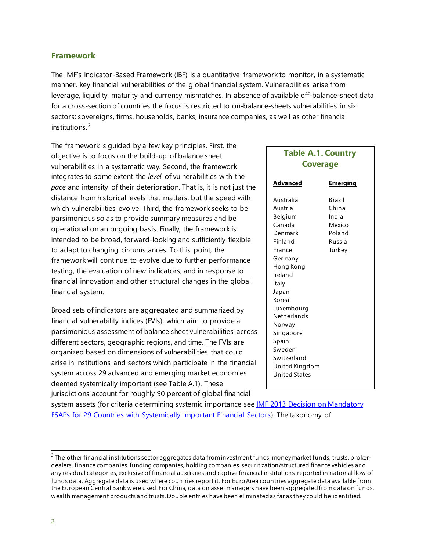#### **Framework**

The IMF's Indicator-Based Framework (IBF) is a quantitative framework to monitor, in a systematic manner, key financial vulnerabilities of the global financial system. Vulnerabilities arise from leverage, liquidity, maturity and currency mismatches. In absence of available off-balance-sheet data for a cross-section of countries the focus is restricted to on-balance-sheets vulnerabilities in six sectors: sovereigns, firms, households, banks, insurance companies, as well as other financial institutions. [3](#page-1-0)

The framework is guided by a few key principles. First, the objective is to focus on the build-up of balance sheet vulnerabilities in a systematic way. Second, the framework integrates to some extent the *level* of vulnerabilities with the *pace* and intensity of their deterioration. That is, it is not just the distance from historical levels that matters, but the speed with which vulnerabilities evolve. Third, the framework seeks to be parsimonious so as to provide summary measures and be operational on an ongoing basis. Finally, the framework is intended to be broad, forward-looking and sufficiently flexible to adapt to changing circumstances. To this point, the framework will continue to evolve due to further performance testing, the evaluation of new indicators, and in response to financial innovation and other structural changes in the global financial system.

Broad sets of indicators are aggregated and summarized by financial vulnerability indices (FVIs), which aim to provide a parsimonious assessment of balance sheet vulnerabilities across different sectors, geographic regions, and time. The FVIs are organized based on dimensions of vulnerabilities that could arise in institutions and sectors which participate in the financial system across 29 advanced and emerging market economies deemed systemically important (see Table A.1). These jurisdictions account for roughly 90 percent of global financial

# **Table A.1. Country Coverage**

| Advanced                                                                                                                                                                                                                                        | Emerging                                                                |
|-------------------------------------------------------------------------------------------------------------------------------------------------------------------------------------------------------------------------------------------------|-------------------------------------------------------------------------|
| Australia<br>Austria<br>Belgium<br>Canada<br>Denmark<br>Finland<br>France<br>Germany<br>Hong Kong<br>Ireland<br>Italy<br>Japan<br>Korea<br>Luxembourg<br>Netherlands<br>Norway<br>Singapore<br>Spain<br>Sweden<br>Switzerland<br>United Kingdom | <b>Brazil</b><br>China<br>India<br>Mexico<br>Poland<br>Russia<br>Turkey |
| United States                                                                                                                                                                                                                                   |                                                                         |

system assets (for criteria determining systemic importance see **IMF 2013 Decision on Mandatory** [FSAPs for 29 Countries with Systemically Important Financial Sectors\)](https://www.imf.org/external/np/pp/eng/2013/111513.pdf). The taxonomy of

<span id="page-1-0"></span> $3$  The other financial institutions sector aggregates data from investment funds, money market funds, trusts, brokerdealers, finance companies, funding companies, holding companies, securitization/structured finance vehicles and any residual categories, exclusive of financial auxiliaries and captive financial institutions, reported in national flow of funds data. Aggregate data is used where countries report it. For Euro Area countries aggregate data available from the European Central Bank were used. For China, data on asset managers have been aggregated from data on funds, wealth management products and trusts. Double entries have been eliminated as far as they could be identified.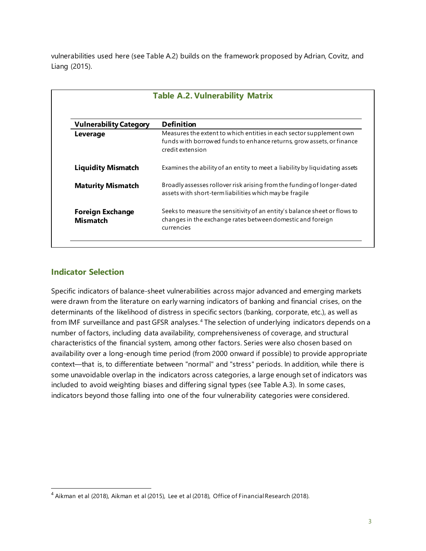vulnerabilities used here (see Table A.2) builds on the framework proposed by Adrian, Covitz, and Liang (2015).

| <b>Table A.2. Vulnerability Matrix</b>     |                                                                                                                                                                  |  |  |  |
|--------------------------------------------|------------------------------------------------------------------------------------------------------------------------------------------------------------------|--|--|--|
| <b>Vulnerability Category</b>              | <b>Definition</b>                                                                                                                                                |  |  |  |
| Leverage                                   | Measures the extent to which entities in each sector supplement own<br>funds with borrowed funds to enhance returns, grow assets, or finance<br>credit extension |  |  |  |
| <b>Liquidity Mismatch</b>                  | Examines the ability of an entity to meet a liability by liquidating assets                                                                                      |  |  |  |
| <b>Maturity Mismatch</b>                   | Broadly assesses rollover risk arising from the funding of longer-dated<br>assets with short-term liabilities which may be fragile                               |  |  |  |
| <b>Foreign Exchange</b><br><b>Mismatch</b> | Seeks to measure the sensitivity of an entity's balance sheet or flows to<br>changes in the exchange rates between domestic and foreign<br>currencies            |  |  |  |

## **Indicator Selection**

Specific indicators of balance-sheet vulnerabilities across major advanced and emerging markets were drawn from the literature on early warning indicators of banking and financial crises, on the determinants of the likelihood of distress in specific sectors (banking, corporate, etc.), as well as from IMF surveillance and past GFSR analyses.<sup>[4](#page-2-0)</sup> The selection of underlying indicators depends on a number of factors, including data availability, comprehensiveness of coverage, and structural characteristics of the financial system, among other factors. Series were also chosen based on availability over a long-enough time period (from 2000 onward if possible) to provide appropriate context—that is, to differentiate between "normal" and "stress" periods. In addition, while there is some unavoidable overlap in the indicators across categories, a large enough set of indicators was included to avoid weighting biases and differing signal types (see Table A.3). In some cases, indicators beyond those falling into one of the four vulnerability categories were considered.

<span id="page-2-0"></span><sup>&</sup>lt;sup>4</sup> Aikman et al (2018), Aikman et al (2015), Lee et al (2018), Office of Financial Research (2018).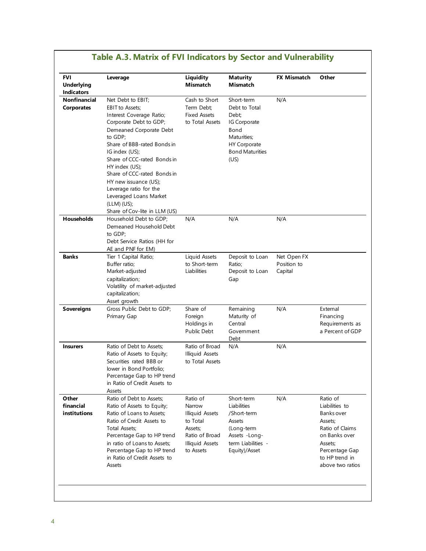| FVI<br><b>Underlying</b><br><b>Indicators</b> | Leverage                                                                                                                                                                                                                                                                                                                                                               | <b>Liquidity</b><br>Mismatch                                                                                                 | <b>Maturity</b><br><b>Mismatch</b>                                                                                                   | <b>FX Mismatch</b>                    | Other                                                                                                                                                      |
|-----------------------------------------------|------------------------------------------------------------------------------------------------------------------------------------------------------------------------------------------------------------------------------------------------------------------------------------------------------------------------------------------------------------------------|------------------------------------------------------------------------------------------------------------------------------|--------------------------------------------------------------------------------------------------------------------------------------|---------------------------------------|------------------------------------------------------------------------------------------------------------------------------------------------------------|
| Nonfinancial<br><b>Corporates</b>             | Net Debt to EBIT;<br><b>EBIT</b> to Assets;<br>Interest Coverage Ratio;<br>Corporate Debt to GDP;<br>Demeaned Corporate Debt<br>to GDP;<br>Share of BBB-rated Bonds in<br>IG index (US);<br>Share of CCC-rated Bonds in<br>HY index (US);<br>Share of CCC-rated Bonds in<br>HY new issuance (US);<br>Leverage ratio for the<br>Leveraged Loans Market<br>$(LLM)$ (US); | Cash to Short<br>Term Debt;<br><b>Fixed Assets</b><br>to Total Assets                                                        | Short-term<br>Debt to Total<br>Debt;<br>IG Corporate<br>Bond<br>Maturities:<br><b>HY Corporate</b><br><b>Bond Maturities</b><br>(US) | N/A                                   |                                                                                                                                                            |
| <b>Households</b>                             | Share of Cov-lite in LLM (US)<br>Household Debt to GDP;<br>Demeaned Household Debt<br>to GDP:<br>Debt Service Ratios (HH for<br>AE and PNF for EM)                                                                                                                                                                                                                     | N/A                                                                                                                          | N/A                                                                                                                                  | N/A                                   |                                                                                                                                                            |
| <b>Banks</b>                                  | Tier 1 Capital Ratio;<br>Buffer ratio;<br>Market-adjusted<br>capitalization;<br>Volatility of market-adjusted<br>capitalization;<br>Asset growth                                                                                                                                                                                                                       | Liquid Assets<br>to Short-term<br>Liabilities                                                                                | Deposit to Loan<br>Ratio;<br>Deposit to Loan<br>Gap                                                                                  | Net Open FX<br>Position to<br>Capital |                                                                                                                                                            |
| <b>Sovereigns</b>                             | Gross Public Debt to GDP;<br>Primary Gap                                                                                                                                                                                                                                                                                                                               | Share of<br>Foreign<br>Holdings in<br>Public Debt                                                                            | Remaining<br>Maturity of<br>Central<br>Government<br>Debt                                                                            | N/A                                   | External<br>Financing<br>Requirements as<br>a Percent of GDP                                                                                               |
| <b>Insurers</b>                               | Ratio of Debt to Assets;<br>Ratio of Assets to Equity;<br>Securities rated BBB or<br>lower in Bond Portfolio;<br>Percentage Gap to HP trend<br>in Ratio of Credit Assets to<br>Assets                                                                                                                                                                                  | Ratio of Broad<br><b>Illiquid Assets</b><br>to Total Assets                                                                  | N/A                                                                                                                                  | N/A                                   |                                                                                                                                                            |
| Other<br>financial<br>institutions            | Ratio of Debt to Assets;<br>Ratio of Assets to Equity;<br>Ratio of Loans to Assets;<br>Ratio of Credit Assets to<br>Total Assets;<br>Percentage Gap to HP trend<br>in ratio of Loans to Assets;<br>Percentage Gap to HP trend<br>in Ratio of Credit Assets to<br>Assets                                                                                                | Ratio of<br>Narrow<br><b>Illiquid Assets</b><br>to Total<br>Assets:<br>Ratio of Broad<br><b>Illiquid Assets</b><br>to Assets | Short-term<br>Liabilities<br>/Short-term<br>Assets<br>(Long-term<br>Assets -Long-<br>term Liabilities -<br>Equity)/Asset             | N/A                                   | Ratio of<br>Liabilities to<br>Banks over<br>Assets;<br>Ratio of Claims<br>on Banks over<br>Assets;<br>Percentage Gap<br>to HP trend in<br>above two ratios |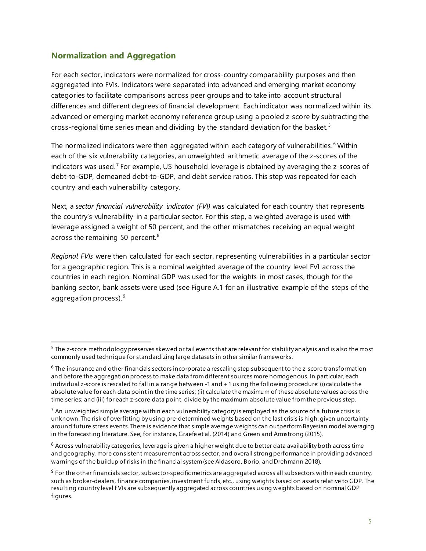### **Normalization and Aggregation**

For each sector, indicators were normalized for cross-country comparability purposes and then aggregated into FVIs. Indicators were separated into advanced and emerging market economy categories to facilitate comparisons across peer groups and to take into account structural differences and different degrees of financial development. Each indicator was normalized within its advanced or emerging market economy reference group using a pooled z-score by subtracting the cross-regional time series mean and dividing by the standard deviation for the basket. [5](#page-4-0)

The normalized indicators were then aggregated within each category of vulnerabilities.<sup>[6](#page-4-1)</sup> Within each of the six vulnerability categories, an unweighted arithmetic average of the z-scores of the indicators was used.<sup>[7](#page-4-2)</sup> For example, US household leverage is obtained by averaging the z-scores of debt-to-GDP, demeaned debt-to-GDP, and debt service ratios. This step was repeated for each country and each vulnerability category.

Next, a *sector financial vulnerability indicator (FVI)* was calculated for each country that represents the country's vulnerability in a particular sector. For this step, a weighted average is used with leverage assigned a weight of 50 percent, and the other mismatches receiving an equal weight across the remaining 50 percent.<sup>[8](#page-4-3)</sup>

*Regional FVIs* were then calculated for each sector, representing vulnerabilities in a particular sector for a geographic region. This is a nominal weighted average of the country level FVI across the countries in each region. Nominal GDP was used for the weights in most cases, though for the banking sector, bank assets were used (see Figure A.1 for an illustrative example of the steps of the aggregation process).  $9$ 

<span id="page-4-0"></span><sup>&</sup>lt;sup>5</sup> The z-score methodology preserves skewed or tail events that are relevant for stability analysis and is also the most commonly used technique for standardizing large datasets in other similar frameworks.

<span id="page-4-1"></span> $6$  The insurance and other financials sectors incorporate a rescaling step subsequent to the z-score transformation and before the aggregation process to make data from different sources more homogenous. In particular, each individual z-score is rescaled to fall in a range between -1 and +1 using the following procedure: (i) calculate the absolute value for each data point in the time series; (ii) calculate the maximum of these absolute values across the time series; and (iii) for each z-score data point, divide by the maximum absolute value from the previous step.

<span id="page-4-2"></span> $^7$  An unweighted simple average within each vulnerability category is employed as the source of a future crisis is unknown. The risk of overfitting by using pre-determined weights based on the last crisis is high, given uncertainty around future stress events. There is evidence that simple average weights can outperform Bayesian model averaging in the forecasting literature. See, for instance, Graefe et al. (2014) and Green and Armstrong (2015).

<span id="page-4-3"></span> $8$  Across vulnerability categories, leverage is given a higher weight due to better data availability both across time and geography, more consistent measurement across sector, and overall strong performance in providing advanced warnings of the buildup of risks in the financial system (see Aldasoro, Borio, and Drehmann 2018).

<span id="page-4-4"></span> $9$  For the other financials sector, subsector-specific metrics are aggregated across all subsectors within each country, such as broker-dealers, finance companies, investment funds, etc., using weights based on assets relative to GDP. The resulting country level FVIs are subsequently aggregated across countries using weights based on nominal GDP figures.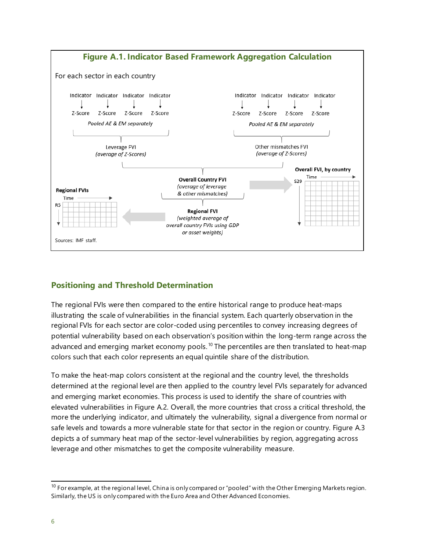

## **Positioning and Threshold Determination**

The regional FVIs were then compared to the entire historical range to produce heat-maps illustrating the scale of vulnerabilities in the financial system. Each quarterly observation in the regional FVIs for each sector are color-coded using percentiles to convey increasing degrees of potential vulnerability based on each observation's position within the long-term range across the advanced and emerging market economy pools.<sup>[10](#page-5-0)</sup> The percentiles are then translated to heat-map colors such that each color represents an equal quintile share of the distribution.

To make the heat-map colors consistent at the regional and the country level, the thresholds determined at the regional level are then applied to the country level FVIs separately for advanced and emerging market economies. This process is used to identify the share of countries with elevated vulnerabilities in Figure A.2. Overall, the more countries that cross a critical threshold, the more the underlying indicator, and ultimately the vulnerability, signal a divergence from normal or safe levels and towards a more vulnerable state for that sector in the region or country. Figure A.3 depicts a of summary heat map of the sector-level vulnerabilities by region, aggregating across leverage and other mismatches to get the composite vulnerability measure.

<span id="page-5-0"></span> $10$  For example, at the regional level, China is only compared or "pooled" with the Other Emerging Markets region. Similarly, the US is only compared with the Euro Area and Other Advanced Economies.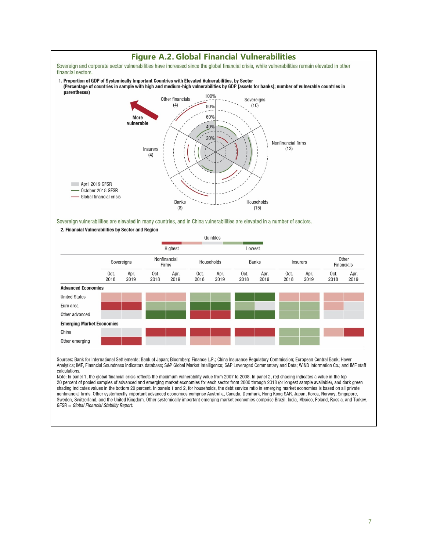

Sources: Bank for International Settlements; Bank of Japan; Bloomberg Finance L.P.; China Insurance Regulatory Commission; European Central Bank; Haver Analytics; IMF, Financial Soundness Indicators database; S&P Global Market Intelligence; S&P Leveraged Commentary and Data; WIND Information Co.; and IMF staff calculations.

Note: In panel 1, the global financial crisis reflects the maximum vulnerability value from 2007 to 2008. In panel 2, red shading indicates a value in the top 20 percent of pooled samples of advanced and emerging market economies for each sector from 2000 through 2018 (or longest sample available), and dark green shading indicates values in the bottom 20 percent. In panels 1 and 2, for households, the debt service ratio in emerging market economies is based on all private nonfinancial firms. Other systemically important advanced economies comprise Australia, Canada, Denmark, Hong Kong SAR, Japan, Korea, Norway, Singapore, Sweden, Switzerland, and the United Kingdom. Other systemically important emerging market economies comprise Brazil, India, Mexico, Poland, Russia, and Turkey. GFSR = Global Financial Stability Report.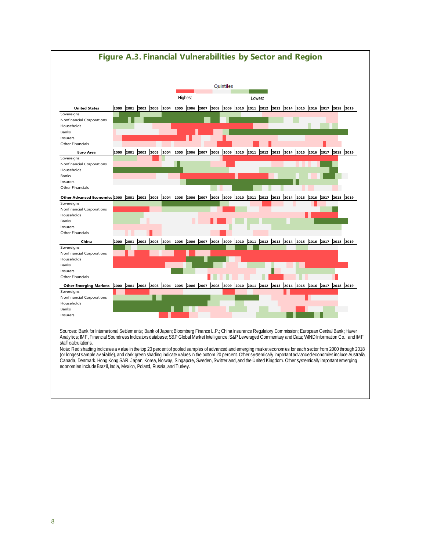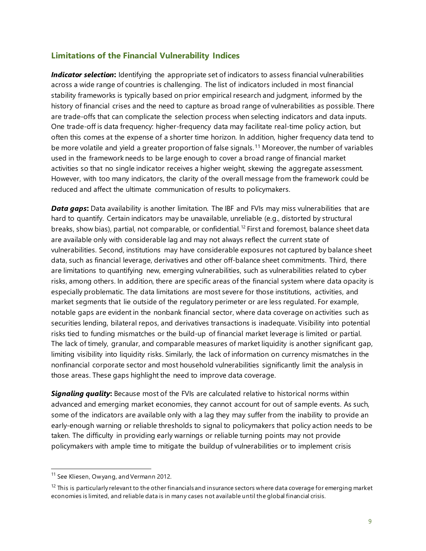#### **Limitations of the Financial Vulnerability Indices**

*Indicator selection***:** Identifying the appropriate set of indicators to assess financial vulnerabilities across a wide range of countries is challenging. The list of indicators included in most financial stability frameworks is typically based on prior empirical research and judgment, informed by the history of financial crises and the need to capture as broad range of vulnerabilities as possible. There are trade-offs that can complicate the selection process when selecting indicators and data inputs. One trade-off is data frequency: higher-frequency data may facilitate real-time policy action, but often this comes at the expense of a shorter time horizon. In addition, higher frequency data tend to be more volatile and yield a greater proportion of false signals.<sup>[11](#page-8-0)</sup> Moreover, the number of variables used in the framework needs to be large enough to cover a broad range of financial market activities so that no single indicator receives a higher weight, skewing the aggregate assessment. However, with too many indicators, the clarity of the overall message from the framework could be reduced and affect the ultimate communication of results to policymakers.

*Data gaps***:** Data availability is another limitation. The IBF and FVIs may miss vulnerabilities that are hard to quantify. Certain indicators may be unavailable, unreliable (e.g., distorted by structural breaks, show bias), partial, not comparable, or confidential. [12](#page-8-1) First and foremost, balance sheet data are available only with considerable lag and may not always reflect the current state of vulnerabilities. Second, institutions may have considerable exposures not captured by balance sheet data, such as financial leverage, derivatives and other off-balance sheet commitments. Third, there are limitations to quantifying new, emerging vulnerabilities, such as vulnerabilities related to cyber risks, among others. In addition, there are specific areas of the financial system where data opacity is especially problematic. The data limitations are most severe for those institutions, activities, and market segments that lie outside of the regulatory perimeter or are less regulated. For example, notable gaps are evident in the nonbank financial sector, where data coverage on activities such as securities lending, bilateral repos, and derivatives transactions is inadequate. Visibility into potential risks tied to funding mismatches or the build-up of financial market leverage is limited or partial. The lack of timely, granular, and comparable measures of market liquidity is another significant gap, limiting visibility into liquidity risks. Similarly, the lack of information on currency mismatches in the nonfinancial corporate sector and most household vulnerabilities significantly limit the analysis in those areas. These gaps highlight the need to improve data coverage.

*Signaling quality***:** Because most of the FVIs are calculated relative to historical norms within advanced and emerging market economies, they cannot account for out of sample events. As such, some of the indicators are available only with a lag they may suffer from the inability to provide an early-enough warning or reliable thresholds to signal to policymakers that policy action needs to be taken. The difficulty in providing early warnings or reliable turning points may not provide policymakers with ample time to mitigate the buildup of vulnerabilities or to implement crisis

<span id="page-8-0"></span><sup>&</sup>lt;sup>11</sup> See Kliesen, Owyang, and Vermann 2012.

<span id="page-8-1"></span> $12$  This is particularly relevant to the other financials and insurance sectors where data coverage for emerging market economies is limited, and reliable data is in many cases not available until the global financial crisis.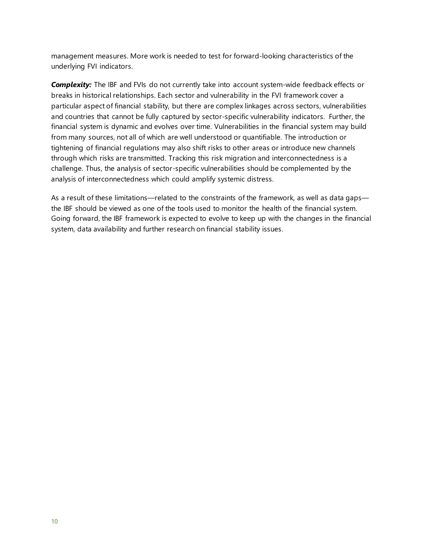management measures. More work is needed to test for forward-looking characteristics of the underlying FVI indicators.

**Complexity:** The IBF and FVIs do not currently take into account system-wide feedback effects or breaks in historical relationships. Each sector and vulnerability in the FVI framework cover a particular aspect of financial stability, but there are complex linkages across sectors, vulnerabilities and countries that cannot be fully captured by sector-specific vulnerability indicators. Further, the financial system is dynamic and evolves over time. Vulnerabilities in the financial system may build from many sources, not all of which are well understood or quantifiable. The introduction or tightening of financial regulations may also shift risks to other areas or introduce new channels through which risks are transmitted. Tracking this risk migration and interconnectedness is a challenge. Thus, the analysis of sector-specific vulnerabilities should be complemented by the analysis of interconnectedness which could amplify systemic distress.

As a result of these limitations—related to the constraints of the framework, as well as data gaps the IBF should be viewed as one of the tools used to monitor the health of the financial system. Going forward, the IBF framework is expected to evolve to keep up with the changes in the financial system, data availability and further research on financial stability issues.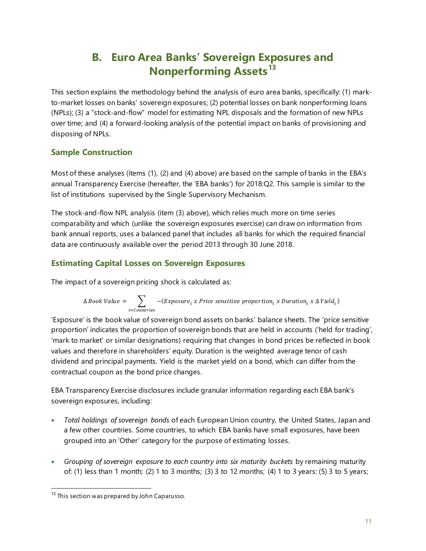# **B. Euro Area Banks' Sovereign Exposures and Nonperforming Assets[13](#page-10-0)**

This section explains the methodology behind the analysis of euro area banks, specifically: (1) markto-market losses on banks' sovereign exposures; (2) potential losses on bank nonperforming loans (NPLs); (3) a "stock-and-flow" model for estimating NPL disposals and the formation of new NPLs over time; and (4) a forward-looking analysis of the potential impact on banks of provisioning and disposing of NPLs.

## **Sample Construction**

Most of these analyses (items (1), (2) and (4) above) are based on the sample of banks in the EBA's annual Transparency Exercise (hereafter, the 'EBA banks') for 2018:Q2. This sample is similar to the list of institutions supervised by the Single Supervisory Mechanism.

The stock-and-flow NPL analysis (item (3) above), which relies much more on time series comparability and which (unlike the sovereign exposures exercise) can draw on information from bank annual reports, uses a balanced panel that includes all banks for which the required financial data are continuously available over the period 2013 through 30 June 2018.

# **Estimating Capital Losses on Sovereign Exposures**

The impact of a sovereign pricing shock is calculated as:

$$
\Delta \, Book \, Value \, = \, \sum_{i=Countries} - (Exposure_i \, x \, Price \, sensitive \, proportion_i \, x \,Duration_i \, x \, \Delta \, Yield_i)
$$

'Exposure' is the book value of sovereign bond assets on banks' balance sheets. The 'price sensitive proportion' indicates the proportion of sovereign bonds that are held in accounts ('held for trading', 'mark to market' or similar designations) requiring that changes in bond prices be reflected in book values and therefore in shareholders' equity. Duration is the weighted average tenor of cash dividend and principal payments. Yield is the market yield on a bond, which can differ from the contractual coupon as the bond price changes.

EBA Transparency Exercise disclosures include granular information regarding each EBA bank's sovereign exposures, including:

- *Total holdings of sovereign bonds* of each European Union country, the United States, Japan and a few other countries. Some countries, to which EBA banks have small exposures, have been grouped into an 'Other' category for the purpose of estimating losses.
- *Grouping of sovereign exposure to each country into six maturity buckets* by remaining maturity of: (1) less than 1 month; (2) 1 to 3 months; (3) 3 to 12 months; (4) 1 to 3 years: (5) 3 to 5 years;

<span id="page-10-0"></span><sup>&</sup>lt;sup>13</sup> This section was prepared by John Caparusso.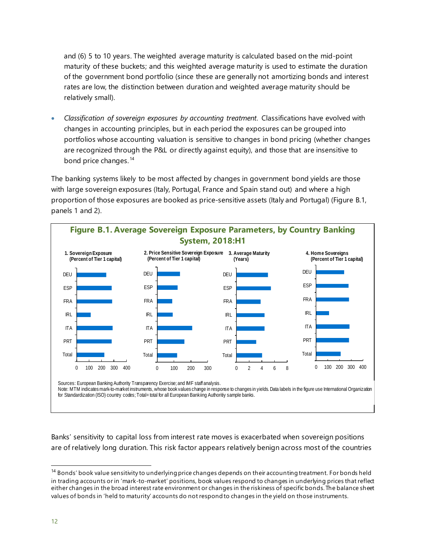and (6) 5 to 10 years. The weighted average maturity is calculated based on the mid-point maturity of these buckets; and this weighted average maturity is used to estimate the duration of the government bond portfolio (since these are generally not amortizing bonds and interest rates are low, the distinction between duration and weighted average maturity should be relatively small).

• *Classification of sovereign exposures by accounting treatment*. Classifications have evolved with changes in accounting principles, but in each period the exposures can be grouped into portfolios whose accounting valuation is sensitive to changes in bond pricing (whether changes are recognized through the P&L or directly against equity), and those that are insensitive to bond price changes.<sup>[14](#page-11-0)</sup>

The banking systems likely to be most affected by changes in government bond yields are those with large sovereign exposures (Italy, Portugal, France and Spain stand out) and where a high proportion of those exposures are booked as price-sensitive assets (Italy and Portugal) (Figure B.1, panels 1 and 2).



Sources: European Banking Authority Transparency Exercise; and IMF staff analysis.

Note: MTM indicates mark-to-market instruments, whose book values change in response to changes in yields. Data labels in the figure use International Organization for Standardization (ISO) country codes; Total= total for all European Bankiing Authoritiy sample banks.

Banks' sensitivity to capital loss from interest rate moves is exacerbated when sovereign positions are of relatively long duration. This risk factor appears relatively benign across most of the countries

<span id="page-11-0"></span><sup>&</sup>lt;sup>14</sup> Bonds' book value sensitivity to underlying price changes depends on their accounting treatment. For bonds held in trading accounts or in 'mark-to-market' positions, book values respond to changes in underlying prices that reflect either changes in the broad interest rate environment or changes in the riskiness of specific bonds. The balance sheet values of bonds in 'held to maturity' accounts do not respond to changes in the yield on those instruments.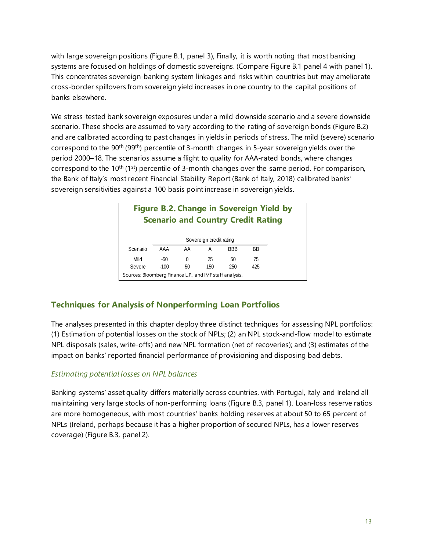with large sovereign positions (Figure B.1, panel 3), Finally, it is worth noting that most banking systems are focused on holdings of domestic sovereigns. (Compare Figure B.1 panel 4 with panel 1). This concentrates sovereign-banking system linkages and risks within countries but may ameliorate cross-border spillovers from sovereign yield increases in one country to the capital positions of banks elsewhere.

We stress-tested bank sovereign exposures under a mild downside scenario and a severe downside scenario. These shocks are assumed to vary according to the rating of sovereign bonds (Figure B.2) and are calibrated according to past changes in yields in periods of stress. The mild (severe) scenario correspond to the  $90<sup>th</sup>$  (99<sup>th</sup>) percentile of 3-month changes in 5-year sovereign yields over the period 2000–18. The scenarios assume a flight to quality for AAA-rated bonds, where changes correspond to the 10<sup>th</sup> (1<sup>st</sup>) percentile of 3-month changes over the same period. For comparison, the Bank of Italy's most recent Financial Stability Report (Bank of Italy, 2018) calibrated banks' sovereign sensitivities against a 100 basis point increase in sovereign yields.

| <b>Figure B.2. Change in Sovereign Yield by</b><br><b>Scenario and Country Credit Rating</b> |        |    |     |            |           |  |  |
|----------------------------------------------------------------------------------------------|--------|----|-----|------------|-----------|--|--|
| Sovereign credit rating                                                                      |        |    |     |            |           |  |  |
| Scenario                                                                                     | AAA    | AA | А   | <b>BBB</b> | <b>BB</b> |  |  |
| Mild                                                                                         | $-50$  | 0  | 25  | 50         | 75        |  |  |
| Severe                                                                                       | $-100$ | 50 | 150 | 250        | 425       |  |  |
| Sources: Bloomberg Finance L.P.; and IMF staff analysis.                                     |        |    |     |            |           |  |  |

# **Techniques for Analysis of Nonperforming Loan Portfolios**

The analyses presented in this chapter deploy three distinct techniques for assessing NPL portfolios: (1) Estimation of potential losses on the stock of NPLs; (2) an NPL stock-and-flow model to estimate NPL disposals (sales, write-offs) and new NPL formation (net of recoveries); and (3) estimates of the impact on banks' reported financial performance of provisioning and disposing bad debts.

#### *Estimating potential losses on NPL balances*

Banking systems' asset quality differs materially across countries, with Portugal, Italy and Ireland all maintaining very large stocks of non-performing loans (Figure B.3, panel 1). Loan-loss reserve ratios are more homogeneous, with most countries' banks holding reserves at about 50 to 65 percent of NPLs (Ireland, perhaps because it has a higher proportion of secured NPLs, has a lower reserves coverage) (Figure B.3, panel 2).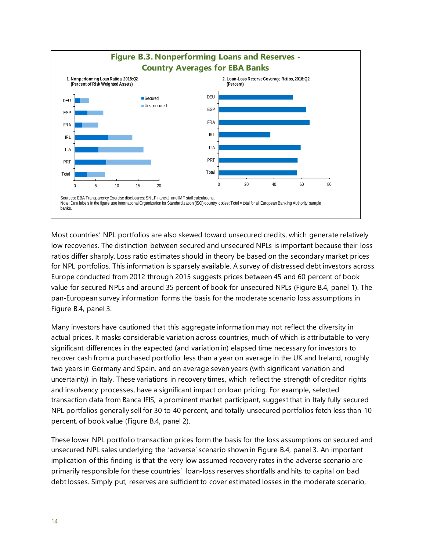

Most countries' NPL portfolios are also skewed toward unsecured credits, which generate relatively low recoveries. The distinction between secured and unsecured NPLs is important because their loss ratios differ sharply. Loss ratio estimates should in theory be based on the secondary market prices for NPL portfolios. This information is sparsely available. A survey of distressed debt investors across Europe conducted from 2012 through 2015 suggests prices between 45 and 60 percent of book value for secured NPLs and around 35 percent of book for unsecured NPLs (Figure B.4, panel 1). The pan-European survey information forms the basis for the moderate scenario loss assumptions in Figure B.4, panel 3.

Many investors have cautioned that this aggregate information may not reflect the diversity in actual prices. It masks considerable variation across countries, much of which is attributable to very significant differences in the expected (and variation in) elapsed time necessary for investors to recover cash from a purchased portfolio: less than a year on average in the UK and Ireland, roughly two years in Germany and Spain, and on average seven years (with significant variation and uncertainty) in Italy. These variations in recovery times, which reflect the strength of creditor rights and insolvency processes, have a significant impact on loan pricing. For example, selected transaction data from Banca IFIS, a prominent market participant, suggest that in Italy fully secured NPL portfolios generally sell for 30 to 40 percent, and totally unsecured portfolios fetch less than 10 percent, of book value (Figure B.4, panel 2).

These lower NPL portfolio transaction prices form the basis for the loss assumptions on secured and unsecured NPL sales underlying the 'adverse' scenario shown in Figure B.4, panel 3. An important implication of this finding is that the very low assumed recovery rates in the adverse scenario are primarily responsible for these countries' loan-loss reserves shortfalls and hits to capital on bad debt losses. Simply put, reserves are sufficient to cover estimated losses in the moderate scenario,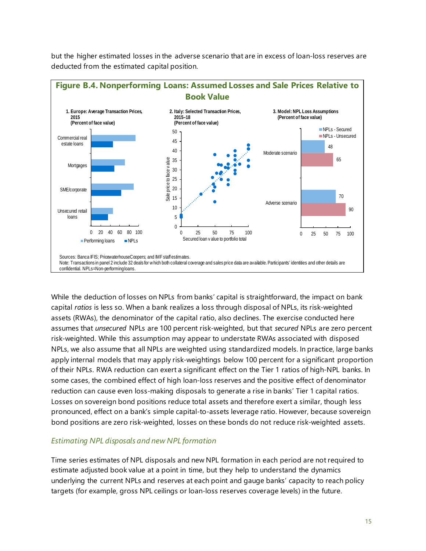

but the higher estimated losses in the adverse scenario that are in excess of loan-loss reserves are deducted from the estimated capital position.

While the deduction of losses on NPLs from banks' capital is straightforward, the impact on bank capital *ratios* is less so. When a bank realizes a loss through disposal of NPLs, its risk-weighted assets (RWAs), the denominator of the capital ratio, also declines. The exercise conducted here assumes that *unsecured* NPLs are 100 percent risk-weighted, but that *secured* NPLs are zero percent risk-weighted. While this assumption may appear to understate RWAs associated with disposed NPLs, we also assume that all NPLs are weighted using standardized models. In practice, large banks apply internal models that may apply risk-weightings below 100 percent for a significant proportion of their NPLs. RWA reduction can exert a significant effect on the Tier 1 ratios of high-NPL banks. In some cases, the combined effect of high loan-loss reserves and the positive effect of denominator reduction can cause even loss-making disposals to generate a rise in banks' Tier 1 capital ratios. Losses on sovereign bond positions reduce total assets and therefore exert a similar, though less pronounced, effect on a bank's simple capital-to-assets leverage ratio. However, because sovereign bond positions are zero risk-weighted, losses on these bonds do not reduce risk-weighted assets.

#### *Estimating NPL disposals and new NPL formation*

Time series estimates of NPL disposals and new NPL formation in each period are not required to estimate adjusted book value at a point in time, but they help to understand the dynamics underlying the current NPLs and reserves at each point and gauge banks' capacity to reach policy targets (for example, gross NPL ceilings or loan-loss reserves coverage levels) in the future.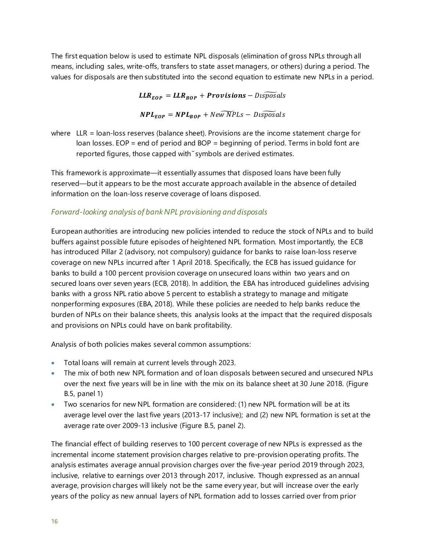The first equation below is used to estimate NPL disposals (elimination of gross NPLs through all means, including sales, write-offs, transfers to state asset managers, or others) during a period. The values for disposals are then substituted into the second equation to estimate new NPLs in a period.

 $LLR_{EOP} = LLR_{BOP} + Provisions - Dispo  
}sals$ 

 $NPL_{EOP} = NPL_{BOP} + New \widetilde{NPLS} - DispoSals$ 

where LLR = loan-loss reserves (balance sheet). Provisions are the income statement charge for loan losses. EOP = end of period and BOP = beginning of period. Terms in bold font are reported figures, those capped with ͂symbols are derived estimates.

This framework is approximate—it essentially assumes that disposed loans have been fully reserved—but it appears to be the most accurate approach available in the absence of detailed information on the loan-loss reserve coverage of loans disposed.

### *Forward-looking analysis of bank NPL provisioning and disposals*

European authorities are introducing new policies intended to reduce the stock of NPLs and to build buffers against possible future episodes of heightened NPL formation. Most importantly, the ECB has introduced Pillar 2 (advisory, not compulsory) guidance for banks to raise loan-loss reserve coverage on new NPLs incurred after 1 April 2018. Specifically, the ECB has issued guidance for banks to build a 100 percent provision coverage on unsecured loans within two years and on secured loans over seven years (ECB, 2018). In addition, the EBA has introduced guidelines advising banks with a gross NPL ratio above 5 percent to establish a strategy to manage and mitigate nonperforming exposures (EBA, 2018). While these policies are needed to help banks reduce the burden of NPLs on their balance sheets, this analysis looks at the impact that the required disposals and provisions on NPLs could have on bank profitability.

Analysis of both policies makes several common assumptions:

- Total loans will remain at current levels through 2023.
- The mix of both new NPL formation and of loan disposals between secured and unsecured NPLs over the next five years will be in line with the mix on its balance sheet at 30 June 2018. (Figure B.5, panel 1)
- Two scenarios for new NPL formation are considered: (1) new NPL formation will be at its average level over the last five years (2013-17 inclusive); and (2) new NPL formation is set at the average rate over 2009-13 inclusive (Figure B.5, panel 2).

The financial effect of building reserves to 100 percent coverage of new NPLs is expressed as the incremental income statement provision charges relative to pre-provision operating profits. The analysis estimates average annual provision charges over the five-year period 2019 through 2023, inclusive, relative to earnings over 2013 through 2017, inclusive. Though expressed as an annual average, provision charges will likely not be the same every year, but will increase over the early years of the policy as new annual layers of NPL formation add to losses carried over from prior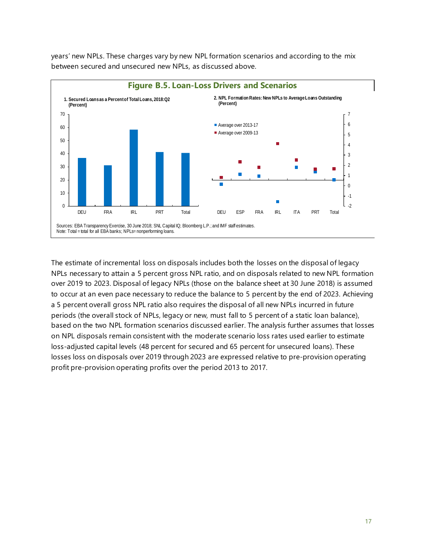years' new NPLs. These charges vary by new NPL formation scenarios and according to the mix between secured and unsecured new NPLs, as discussed above.



The estimate of incremental loss on disposals includes both the losses on the disposal of legacy NPLs necessary to attain a 5 percent gross NPL ratio, and on disposals related to new NPL formation over 2019 to 2023. Disposal of legacy NPLs (those on the balance sheet at 30 June 2018) is assumed to occur at an even pace necessary to reduce the balance to 5 percent by the end of 2023. Achieving a 5 percent overall gross NPL ratio also requires the disposal of all new NPLs incurred in future periods (the overall stock of NPLs, legacy or new, must fall to 5 percent of a static loan balance), based on the two NPL formation scenarios discussed earlier. The analysis further assumes that losses on NPL disposals remain consistent with the moderate scenario loss rates used earlier to estimate loss-adjusted capital levels (48 percent for secured and 65 percent for unsecured loans). These losses loss on disposals over 2019 through 2023 are expressed relative to pre-provision operating profit pre-provision operating profits over the period 2013 to 2017.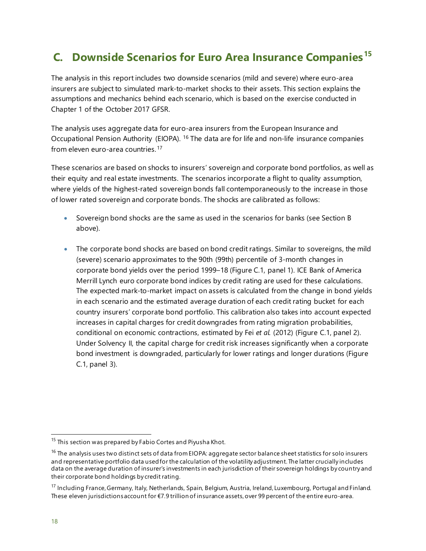# **C. Downside Scenarios for Euro Area Insurance Companies[15](#page-17-0)**

The analysis in this report includes two downside scenarios (mild and severe) where euro-area insurers are subject to simulated mark-to-market shocks to their assets. This section explains the assumptions and mechanics behind each scenario, which is based on the exercise conducted in Chapter 1 of the October 2017 GFSR.

The analysis uses aggregate data for euro-area insurers from the European Insurance and Occupational Pension Authority (EIOPA). [16](#page-17-1) The data are for life and non-life insurance companies from eleven euro-area countries.[17](#page-17-2)

These scenarios are based on shocks to insurers' sovereign and corporate bond portfolios, as well as their equity and real estate investments. The scenarios incorporate a flight to quality assumption, where yields of the highest-rated sovereign bonds fall contemporaneously to the increase in those of lower rated sovereign and corporate bonds. The shocks are calibrated as follows:

- Sovereign bond shocks are the same as used in the scenarios for banks (see Section B above).
- The corporate bond shocks are based on bond credit ratings. Similar to sovereigns, the mild (severe) scenario approximates to the 90th (99th) percentile of 3-month changes in corporate bond yields over the period 1999–18 (Figure C.1, panel 1). ICE Bank of America Merrill Lynch euro corporate bond indices by credit rating are used for these calculations. The expected mark-to-market impact on assets is calculated from the change in bond yields in each scenario and the estimated average duration of each credit rating bucket for each country insurers' corporate bond portfolio. This calibration also takes into account expected increases in capital charges for credit downgrades from rating migration probabilities, conditional on economic contractions, estimated by Fei *et al.* (2012) (Figure C.1, panel 2). Under Solvency II, the capital charge for credit risk increases significantly when a corporate bond investment is downgraded, particularly for lower ratings and longer durations (Figure C.1, panel 3).

<span id="page-17-0"></span> $15$  This section was prepared by Fabio Cortes and Piyusha Khot.

<span id="page-17-1"></span><sup>&</sup>lt;sup>16</sup> The analysis uses two distinct sets of data from EIOPA: aggregate sector balance sheet statistics for solo insurers and representative portfolio data used for the calculation of the volatility adjustment. The latter crucially includes data on the average duration of insurer's investments in each jurisdiction of their sovereign holdings by country and their corporate bond holdings by credit rating.

<span id="page-17-2"></span><sup>&</sup>lt;sup>17</sup> Including France, Germany, Italy, Netherlands, Spain, Belgium, Austria, Ireland, Luxembourg, Portugal and Finland. These eleven jurisdictions account for €7.9 trillion of insurance assets, over 99 percent of the entire euro-area.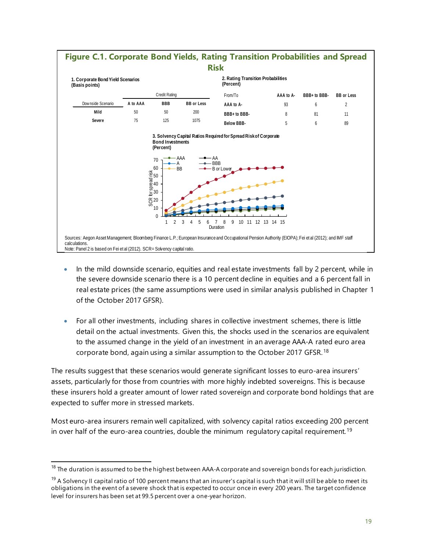

- In the mild downside scenario, equities and real estate investments fall by 2 percent, while in the severe downside scenario there is a 10 percent decline in equities and a 6 percent fall in real estate prices (the same assumptions were used in similar analysis published in Chapter 1 of the October 2017 GFSR).
- For all other investments, including shares in collective investment schemes, there is little detail on the actual investments. Given this, the shocks used in the scenarios are equivalent to the assumed change in the yield of an investment in an average AAA-A rated euro area corporate bond, again using a similar assumption to the October 2017 GFSR.[18](#page-18-0)

The results suggest that these scenarios would generate significant losses to euro-area insurers' assets, particularly for those from countries with more highly indebted sovereigns. This is because these insurers hold a greater amount of lower rated sovereign and corporate bond holdings that are expected to suffer more in stressed markets.

Most euro-area insurers remain well capitalized, with solvency capital ratios exceeding 200 percent in over half of the euro-area countries, double the minimum regulatory capital requirement. [19](#page-18-1)

<span id="page-18-0"></span> $18$  The duration is assumed to be the highest between AAA-A corporate and sovereign bonds for each jurisdiction.

<span id="page-18-1"></span><sup>&</sup>lt;sup>19</sup> A Solvency II capital ratio of 100 percent means that an insurer's capital is such that it will still be able to meet its obligations in the event of a severe shock that is expected to occur once in every 200 years. The target confidence level for insurers has been set at 99.5 percent over a one-year horizon.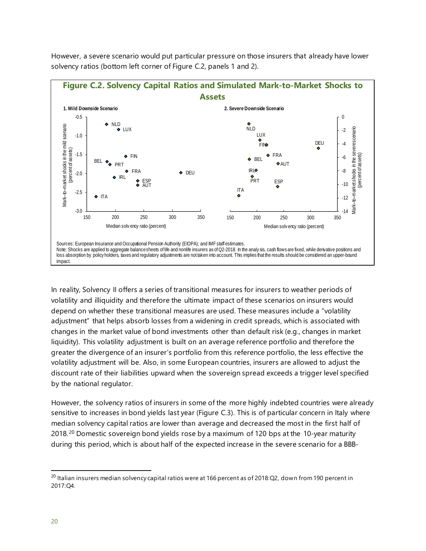

However, a severe scenario would put particular pressure on those insurers that already have lower solvency ratios (bottom left corner of Figure C.2, panels 1 and 2).

In reality, Solvency II offers a series of transitional measures for insurers to weather periods of volatility and illiquidity and therefore the ultimate impact of these scenarios on insurers would depend on whether these transitional measures are used. These measures include a "volatility adjustment" that helps absorb losses from a widening in credit spreads, which is associated with changes in the market value of bond investments other than default risk (e.g., changes in market liquidity). This volatility adjustment is built on an average reference portfolio and therefore the greater the divergence of an insurer's portfolio from this reference portfolio, the less effective the volatility adjustment will be. Also, in some European countries, insurers are allowed to adjust the discount rate of their liabilities upward when the sovereign spread exceeds a trigger level specified by the national regulator.

However, the solvency ratios of insurers in some of the more highly indebted countries were already sensitive to increases in bond yields last year (Figure C.3). This is of particular concern in Italy where median solvency capital ratios are lower than average and decreased the most in the first half of [20](#page-19-0)18.<sup>20</sup> Domestic sovereign bond yields rose by a maximum of 120 bps at the 10-year maturity during this period, which is about half of the expected increase in the severe scenario for a BBB-

<span id="page-19-0"></span> $^{20}$  Italian insurers median solvency capital ratios were at 166 percent as of 2018:Q2, down from 190 percent in 2017:Q4.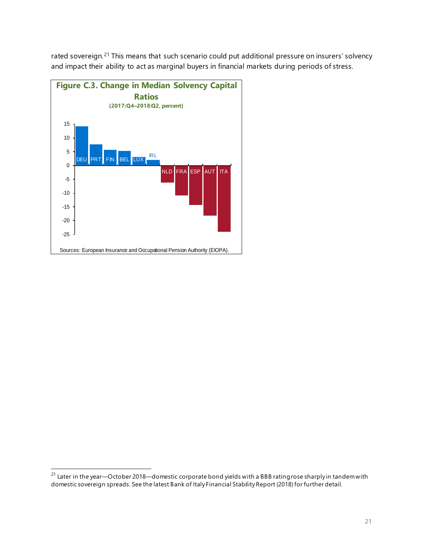rated sovereign.<sup>[21](#page-20-0)</sup> This means that such scenario could put additional pressure on insurers' solvency and impact their ability to act as marginal buyers in financial markets during periods of stress.



<span id="page-20-0"></span> $21$  Later in the year—October 2018—domestic corporate bond yields with a BBB rating rose sharply in tandem with domestic sovereign spreads. See the latest Bank of Italy Financial Stability Report (2018) for further detail.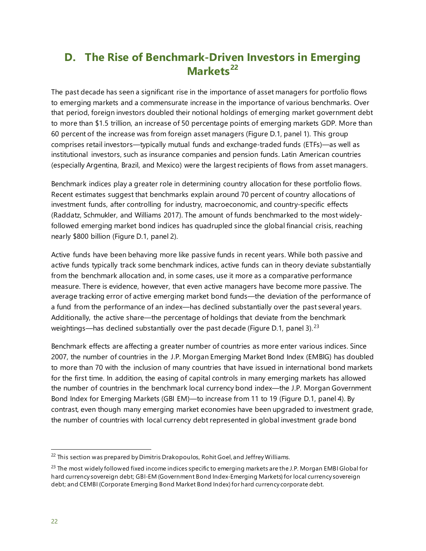# **D. The Rise of Benchmark-Driven Investors in Emerging Markets[22](#page-21-0)**

The past decade has seen a significant rise in the importance of asset managers for portfolio flows to emerging markets and a commensurate increase in the importance of various benchmarks. Over that period, foreign investors doubled their notional holdings of emerging market government debt to more than \$1.5 trillion, an increase of 50 percentage points of emerging markets GDP. More than 60 percent of the increase was from foreign asset managers (Figure D.1, panel 1). This group comprises retail investors—typically mutual funds and exchange-traded funds (ETFs)—as well as institutional investors, such as insurance companies and pension funds. Latin American countries (especially Argentina, Brazil, and Mexico) were the largest recipients of flows from asset managers.

Benchmark indices play a greater role in determining country allocation for these portfolio flows. Recent estimates suggest that benchmarks explain around 70 percent of country allocations of investment funds, after controlling for industry, macroeconomic, and country-specific effects (Raddatz, Schmukler, and Williams 2017). The amount of funds benchmarked to the most widelyfollowed emerging market bond indices has quadrupled since the global financial crisis, reaching nearly \$800 billion (Figure D.1, panel 2).

Active funds have been behaving more like passive funds in recent years. While both passive and active funds typically track some benchmark indices, active funds can in theory deviate substantially from the benchmark allocation and, in some cases, use it more as a comparative performance measure. There is evidence, however, that even active managers have become more passive. The average tracking error of active emerging market bond funds—the deviation of the performance of a fund from the performance of an index—has declined substantially over the past several years. Additionally, the active share—the percentage of holdings that deviate from the benchmark weightings—has declined substantially over the past decade (Figure D.1, panel 3).<sup>[23](#page-21-1)</sup>

Benchmark effects are affecting a greater number of countries as more enter various indices. Since 2007, the number of countries in the J.P. Morgan Emerging Market Bond Index (EMBIG) has doubled to more than 70 with the inclusion of many countries that have issued in international bond markets for the first time. In addition, the easing of capital controls in many emerging markets has allowed the number of countries in the benchmark local currency bond index—the J.P. Morgan Government Bond Index for Emerging Markets (GBI EM)—to increase from 11 to 19 (Figure D.1, panel 4). By contrast, even though many emerging market economies have been upgraded to investment grade, the number of countries with local currency debt represented in global investment grade bond

<span id="page-21-0"></span> $22$  This section was prepared by Dimitris Drakopoulos, Rohit Goel, and Jeffrey Williams.

<span id="page-21-1"></span><sup>&</sup>lt;sup>23</sup> The most widely followed fixed income indices specific to emerging markets are the J.P. Morgan EMBI Global for hard currency sovereign debt; GBI-EM (Government Bond Index-Emerging Markets) for local currency sovereign debt; and CEMBI (Corporate Emerging Bond Market Bond Index) for hard currency corporate debt.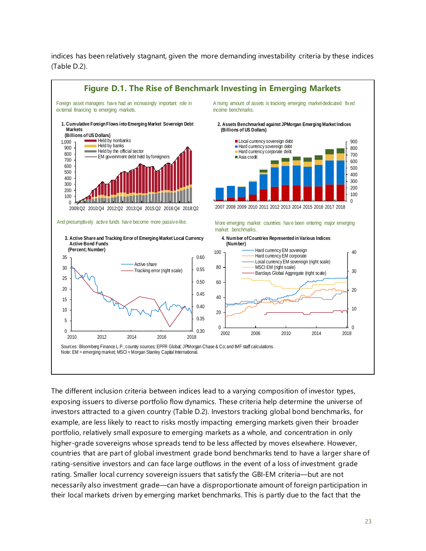indices has been relatively stagnant, given the more demanding investability criteria by these indices (Table D.2).



The different inclusion criteria between indices lead to a varying composition of investor types, exposing issuers to diverse portfolio flow dynamics. These criteria help determine the universe of investors attracted to a given country (Table D.2). Investors tracking global bond benchmarks, for example, are less likely to react to risks mostly impacting emerging markets given their broader portfolio, relatively small exposure to emerging markets as a whole, and concentration in only higher-grade sovereigns whose spreads tend to be less affected by moves elsewhere. However, countries that are part of global investment grade bond benchmarks tend to have a larger share of rating-sensitive investors and can face large outflows in the event of a loss of investment grade rating. Smaller local currency sovereign issuers that satisfy the GBI-EM criteria—but are not necessarily also investment grade—can have a disproportionate amount of foreign participation in their local markets driven by emerging market benchmarks. This is partly due to the fact that the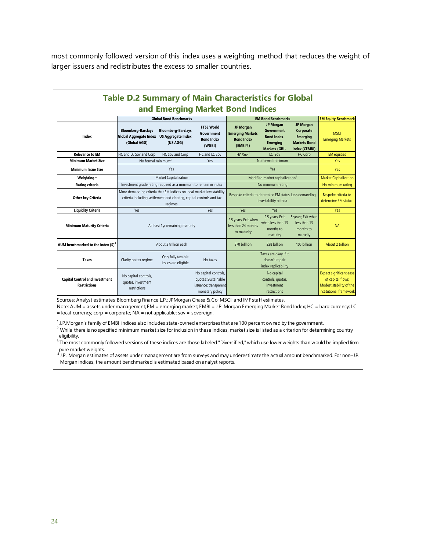most commonly followed version of this index uses a weighting method that reduces the weight of larger issuers and redistributes the excess to smaller countries.

| <b>Table D.2 Summary of Main Characteristics for Global</b>  |                                                                                                                                                           |                                           |                                                                                         |                                                                                   |                                                                                                        |                                                                                          |                                                                                                           |
|--------------------------------------------------------------|-----------------------------------------------------------------------------------------------------------------------------------------------------------|-------------------------------------------|-----------------------------------------------------------------------------------------|-----------------------------------------------------------------------------------|--------------------------------------------------------------------------------------------------------|------------------------------------------------------------------------------------------|-----------------------------------------------------------------------------------------------------------|
| and Emerging Market Bond Indices                             |                                                                                                                                                           |                                           |                                                                                         |                                                                                   |                                                                                                        |                                                                                          |                                                                                                           |
|                                                              |                                                                                                                                                           | <b>Global Bond Benchmarks</b>             |                                                                                         |                                                                                   | <b>EM Bond Benchmarks</b>                                                                              |                                                                                          | <b>EM Equity Benchmark</b>                                                                                |
| Index                                                        | <b>Bloomberg-Barclays</b><br>Global Aggregate Index US Aggregate Index<br>(Global AGG)                                                                    | <b>Bloomberg-Barclays</b><br>(US AGG)     | <b>FTSE World</b><br>Government<br><b>Bond Index</b><br>(WGBI)                          | <b>JP Morgan</b><br><b>Emerging Markets</b><br><b>Bond Index</b><br>(EMBI@)       | <b>JP Morgan</b><br><b>Government</b><br><b>Bond Index-</b><br><b>Emerging</b><br><b>Markets (GBI-</b> | <b>JP Morgan</b><br>Corporate<br><b>Emerging</b><br><b>Markets Bond</b><br>Index (CEMBI) | <b>MSCI</b><br><b>Emerging Markets</b>                                                                    |
| <b>Relevance to EM</b>                                       | HC and LC Sov and Corp                                                                                                                                    | HC Sov and Corp                           | HC and LC Sov                                                                           | $HC$ Sov <sup>1</sup>                                                             | LC Sov                                                                                                 | HC Corp                                                                                  | <b>EM</b> equities                                                                                        |
| <b>Minimum Market Size</b>                                   | No formal minimum <sup>2</sup>                                                                                                                            |                                           | Yes                                                                                     |                                                                                   | No formal minimum                                                                                      |                                                                                          | <b>Yes</b>                                                                                                |
| <b>Minimum Issue Size</b>                                    | Yes                                                                                                                                                       |                                           |                                                                                         | Yes                                                                               |                                                                                                        |                                                                                          | <b>Yes</b>                                                                                                |
| Weighting *                                                  | Market Capitalization                                                                                                                                     |                                           |                                                                                         | Modified market capitalization <sup>3</sup>                                       |                                                                                                        |                                                                                          | <b>Market Capitalization</b>                                                                              |
| <b>Rating criteria</b>                                       | Investment grade rating required as a minimum to remain in index                                                                                          |                                           |                                                                                         | No minimum rating                                                                 |                                                                                                        |                                                                                          | No minimum rating                                                                                         |
| <b>Other key Criteria</b>                                    | More demanding criteria that EM indices on local market investability<br>criteria including settlement and clearing, capital controls and tax<br>regimes. |                                           |                                                                                         | Bespoke criteria to determine EM status. Less demanding<br>investability criteria |                                                                                                        |                                                                                          | Bespoke criteria to<br>determine EM status.                                                               |
| <b>Liquidity Criteria</b>                                    | Yes                                                                                                                                                       |                                           | Yes                                                                                     | <b>Yes</b>                                                                        | Yes                                                                                                    |                                                                                          | <b>Yes</b>                                                                                                |
| <b>Minimum Maturity Criteria</b>                             | At least 1yr remaining maturity                                                                                                                           |                                           |                                                                                         | 2.5 years; Exit when<br>less than 24 months<br>to maturity                        | 2.5 years; Exit<br>when less than 13<br>months to<br>maturity                                          | 5 years; Exit when<br>less than 13<br>months to<br>maturity                              | <b>NA</b>                                                                                                 |
| AUM benchmarked to the index $(5)^4$                         |                                                                                                                                                           | About 2 trillion each                     |                                                                                         | 370 billlion                                                                      | 228 billion                                                                                            | 105 billion                                                                              | About 2 trillion                                                                                          |
| <b>Taxes</b>                                                 | Clarity on tax regime                                                                                                                                     | Only fully taxable<br>issues are eligible | No taxes                                                                                |                                                                                   | Taxes are okay if it<br>doesn't impair<br>index replicability                                          |                                                                                          |                                                                                                           |
| <b>Capital Control and Investment</b><br><b>Restrictions</b> | No capital controls,<br>quotas, investment<br>restrictions                                                                                                |                                           | No capital controls,<br>quotas; Sustainable<br>issuance; transparent<br>monetary policy |                                                                                   | No capital<br>controls, quotas,<br>investment<br>restrictions                                          |                                                                                          | <b>Expect significant ease</b><br>of capital flows;<br>Modest stability of the<br>institutional framework |

Sources: Analyst estimates; Bloomberg Finance L.P.; JPMorgan Chase & Co; MSCI; and IMF staff estimates.

Note: AUM = assets under management; EM = emerging market; EMBI = J.P. Morgan Emerging Market Bond Index; HC = hard currency; LC = local currency; corp = corporate; NA = not applicable; sov = sovereign.

 $1$  J.P.Morgan's family of EMBI indices also includes state-owned enterprises that are 100 percent owned by the government.

<sup>2</sup> While there is no specified minimum market size for inclusion in these indices, market size is listed as a criterion for determining country eligibility.

 $^3$  The most commonly followed versions of these indices are those labeled "Diversified," which use lower weights than would be implied from

pure market weights.<br><sup>4</sup> J.P. Morgan estimates of assets under management are from surveys and may underestimate the actual amount benchmarked. For non–J.P. Morgan indices, the amount benchmarked is estimated based on analyst reports.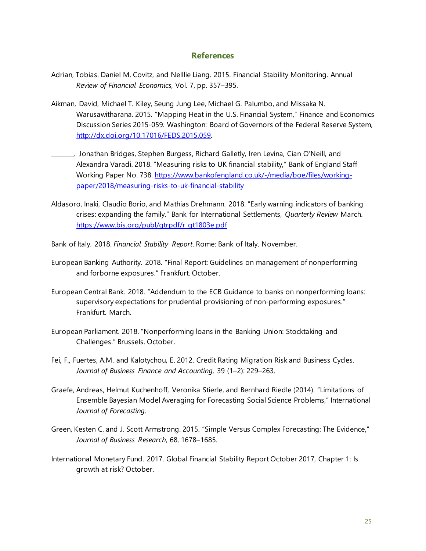#### **References**

- Adrian, Tobias. Daniel M. Covitz, and Nelllie Liang. 2015. Financial Stability Monitoring. Annual *Review of Financial Economics*, Vol. 7, pp. 357–395.
- Aikman, David, Michael T. Kiley, Seung Jung Lee, Michael G. Palumbo, and Missaka N. Warusawitharana. 2015. "Mapping Heat in the U.S. Financial System," Finance and Economics Discussion Series 2015-059. Washington: Board of Governors of the Federal Reserve System, [http://dx.doi.org/10.17016/FEDS.2015.059.](http://dx.doi.org/10.17016/FEDS.2015.059)
- \_\_\_\_\_\_\_\_, Jonathan Bridges, Stephen Burgess, Richard Galletly, Iren Levina, Cian O'Neill, and Alexandra Varadi. 2018. "Measuring risks to UK financial stability," Bank of England Staff Working Paper No. 738. [https://www.bankofengland.co.uk/-/media/boe/files/working](https://www.bankofengland.co.uk/-/media/boe/files/working-%20%09paper/2018/measuring-risks-to-uk-financial-stability)[paper/2018/measuring-risks-to-uk-financial-stability](https://www.bankofengland.co.uk/-/media/boe/files/working-%20%09paper/2018/measuring-risks-to-uk-financial-stability)
- Aldasoro, Inaki, Claudio Borio, and Mathias Drehmann. 2018. "Early warning indicators of banking crises: expanding the family." Bank for International Settlements, *Quarterly Review* March. [https://www.bis.org/publ/qtrpdf/r\\_qt1803e.pdf](https://www.bis.org/publ/qtrpdf/r_qt1803e.pdf)
- Bank of Italy. 2018. *Financial Stability Report*. Rome: Bank of Italy. November.
- European Banking Authority. 2018. "Final Report: Guidelines on management of nonperforming and forborne exposures." Frankfurt. October.
- European Central Bank. 2018. "Addendum to the ECB Guidance to banks on nonperforming loans: supervisory expectations for prudential provisioning of non-performing exposures." Frankfurt. March.
- European Parliament. 2018. "Nonperforming loans in the Banking Union: Stocktaking and Challenges." Brussels. October.
- Fei, F., Fuertes, A.M. and Kalotychou, E. 2012. Credit Rating Migration Risk and Business Cycles. *Journal of Business Finance and Accounting*, 39 (1–2): 229–263.
- Graefe, Andreas, Helmut Kuchenhoff, Veronika Stierle, and Bernhard Riedle (2014). "Limitations of Ensemble Bayesian Model Averaging for Forecasting Social Science Problems," International *Journal of Forecasting*.
- Green, Kesten C. and J. Scott Armstrong. 2015. "Simple Versus Complex Forecasting: The Evidence," *Journal of Business Research*, 68, 1678–1685.
- International Monetary Fund. 2017. Global Financial Stability Report October 2017, Chapter 1: Is growth at risk? October.